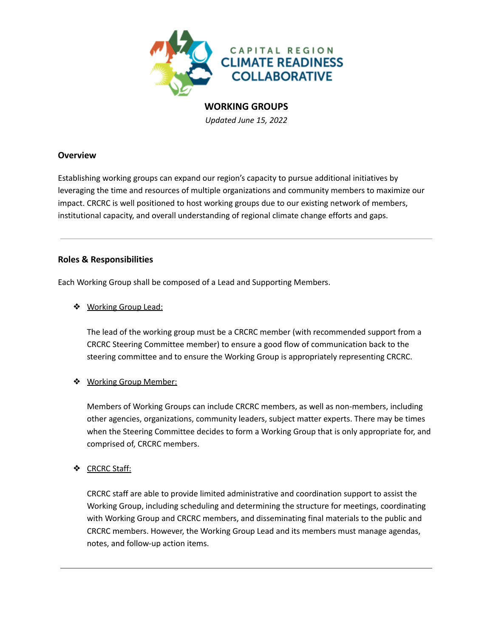

# **WORKING GROUPS**

*Updated June 15, 2022*

## **Overview**

Establishing working groups can expand our region's capacity to pursue additional initiatives by leveraging the time and resources of multiple organizations and community members to maximize our impact. CRCRC is well positioned to host working groups due to our existing network of members, institutional capacity, and overall understanding of regional climate change efforts and gaps.

## **Roles & Responsibilities**

Each Working Group shall be composed of a Lead and Supporting Members.

❖ Working Group Lead:

The lead of the working group must be a CRCRC member (with recommended support from a CRCRC Steering Committee member) to ensure a good flow of communication back to the steering committee and to ensure the Working Group is appropriately representing CRCRC.

# ❖ Working Group Member:

Members of Working Groups can include CRCRC members, as well as non-members, including other agencies, organizations, community leaders, subject matter experts. There may be times when the Steering Committee decides to form a Working Group that is only appropriate for, and comprised of, CRCRC members.

# ❖ CRCRC Staff:

CRCRC staff are able to provide limited administrative and coordination support to assist the Working Group, including scheduling and determining the structure for meetings, coordinating with Working Group and CRCRC members, and disseminating final materials to the public and CRCRC members. However, the Working Group Lead and its members must manage agendas, notes, and follow-up action items.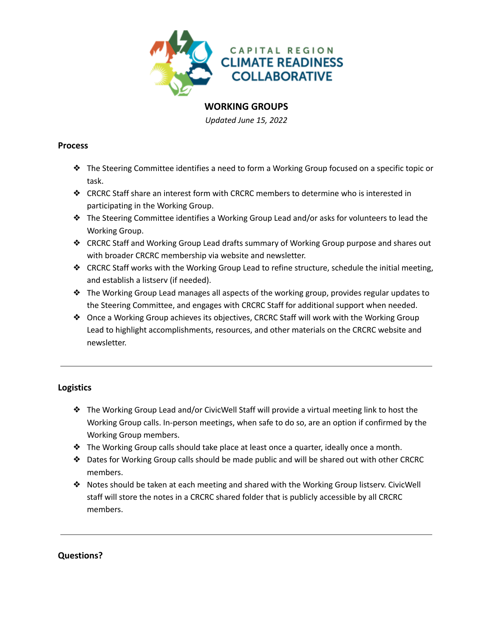

# **WORKING GROUPS**

*Updated June 15, 2022*

#### **Process**

- ❖ The Steering Committee identifies a need to form a Working Group focused on a specific topic or task.
- ❖ CRCRC Staff share an interest form with CRCRC members to determine who is interested in participating in the Working Group.
- ❖ The Steering Committee identifies a Working Group Lead and/or asks for volunteers to lead the Working Group.
- ❖ CRCRC Staff and Working Group Lead drafts summary of Working Group purpose and shares out with broader CRCRC membership via website and newsletter.
- ❖ CRCRC Staff works with the Working Group Lead to refine structure, schedule the initial meeting, and establish a listserv (if needed).
- ❖ The Working Group Lead manages all aspects of the working group, provides regular updates to the Steering Committee, and engages with CRCRC Staff for additional support when needed.
- ❖ Once a Working Group achieves its objectives, CRCRC Staff will work with the Working Group Lead to highlight accomplishments, resources, and other materials on the CRCRC website and newsletter.

# **Logistics**

- ❖ The Working Group Lead and/or CivicWell Staff will provide a virtual meeting link to host the Working Group calls. In-person meetings, when safe to do so, are an option if confirmed by the Working Group members.
- ❖ The Working Group calls should take place at least once a quarter, ideally once a month.
- ❖ Dates for Working Group calls should be made public and will be shared out with other CRCRC members.
- ❖ Notes should be taken at each meeting and shared with the Working Group listserv. CivicWell staff will store the notes in a CRCRC shared folder that is publicly accessible by all CRCRC members.

# **Questions?**